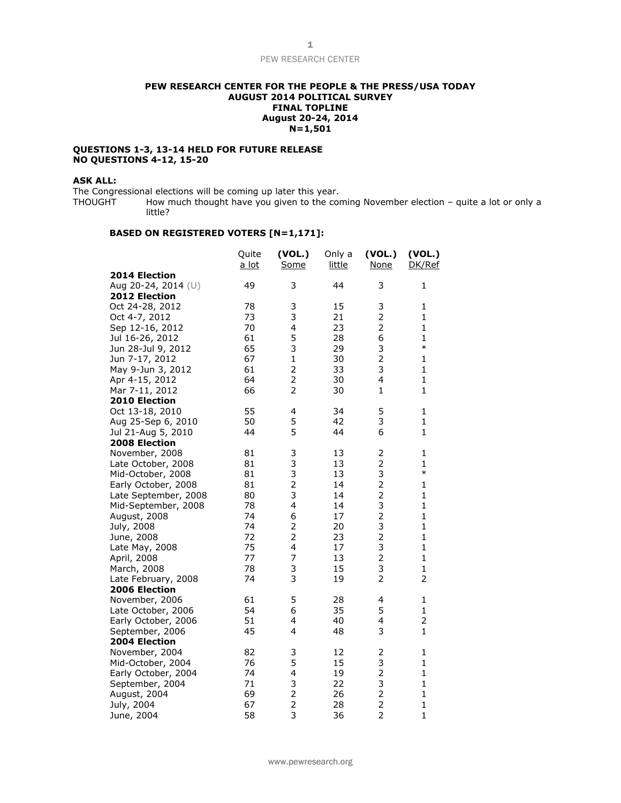## **PEW RESEARCH CENTER FOR THE PEOPLE & THE PRESS/USA TODAY AUGUST 2014 POLITICAL SURVEY FINAL TOPLINE August 20-24, 2014 N=1,501**

#### **QUESTIONS 1-3, 13-14 HELD FOR FUTURE RELEASE NO QUESTIONS 4-12, 15-20**

## **ASK ALL:**

The Congressional elections will be coming up later this year.<br>THOUGHT How much thought have you given to the cor How much thought have you given to the coming November election – quite a lot or only a little?

## **BASED ON REGISTERED VOTERS [N=1,171]:**

|                      | Quite<br>a lot | (VOL.)<br>Some | Only a<br>little | (VOL.)<br><b>None</b>   | (VOL.)<br>DK/Ref |
|----------------------|----------------|----------------|------------------|-------------------------|------------------|
| 2014 Election        |                |                |                  |                         |                  |
| Aug 20-24, 2014 (U)  | 49             | 3              | 44               | 3                       | $\mathbf{1}$     |
| 2012 Election        |                |                |                  |                         |                  |
| Oct 24-28, 2012      | 78             | 3              | 15               | 3                       | 1                |
| Oct 4-7, 2012        | 73             | 3              | 21               | $\overline{2}$          | $\mathbf{1}$     |
| Sep 12-16, 2012      | 70             | 4              | 23               | $\overline{2}$          | $\mathbf{1}$     |
| Jul 16-26, 2012      | 61             | 5              | 28               | 6                       | $\mathbf{1}$     |
| Jun 28-Jul 9, 2012   | 65             | 3              | 29               | 3                       | $\ast$           |
| Jun 7-17, 2012       | 67             | $\mathbf{1}$   | 30               | $\overline{2}$          | $\mathbf{1}$     |
| May 9-Jun 3, 2012    | 61             | $\overline{2}$ | 33               | 3                       | $\mathbf{1}$     |
| Apr 4-15, 2012       | 64             | $\overline{2}$ | 30               | 4                       | $\mathbf{1}$     |
| Mar 7-11, 2012       | 66             | 2              | 30               | 1                       | $\mathbf{1}$     |
| 2010 Election        |                |                |                  |                         |                  |
| Oct 13-18, 2010      | 55             | 4              | 34               | 5                       | 1                |
| Aug 25-Sep 6, 2010   | 50             | 5              | 42               | 3                       | $\mathbf{1}$     |
| Jul 21-Aug 5, 2010   | 44             | 5              | 44               | 6                       | $\mathbf{1}$     |
| 2008 Election        |                |                |                  |                         |                  |
| November, 2008       | 81             | 3              | 13               | 2                       | 1                |
| Late October, 2008   | 81             | 3              | 13               | $\overline{2}$          | $\mathbf{1}$     |
| Mid-October, 2008    | 81             | 3              | 13               | 3                       | $\ast$           |
| Early October, 2008  | 81             | $\overline{c}$ | 14               | $\overline{2}$          | $\mathbf{1}$     |
| Late September, 2008 | 80             | 3              | 14               | $\overline{2}$          | $\mathbf{1}$     |
| Mid-September, 2008  | 78             | 4              | 14               | 3                       | $\mathbf{1}$     |
| August, 2008         | 74             | 6              | 17               | $\overline{2}$          | $\mathbf{1}$     |
| July, 2008           | 74             | 2              | 20               | 3                       | $\mathbf{1}$     |
| June, 2008           | 72             | $\overline{2}$ | 23               | $\overline{c}$          | $\mathbf{1}$     |
| Late May, 2008       | 75             | 4              | 17               | 3                       | $\mathbf{1}$     |
| April, 2008          | 77             | 7              | 13               | $\overline{2}$          | $\mathbf{1}$     |
| March, 2008          | 78             | 3              | 15               | 3                       | $\mathbf{1}$     |
| Late February, 2008  | 74             | 3              | 19               | $\overline{2}$          | $\overline{2}$   |
| 2006 Election        |                |                |                  |                         |                  |
| November, 2006       | 61             | 5              | 28               | 4                       | 1                |
| Late October, 2006   | 54             | 6              | 35               | 5                       | $\mathbf{1}$     |
| Early October, 2006  | 51             | 4              | 40               | 4                       | $\overline{2}$   |
| September, 2006      | 45             | 4              | 48               | 3                       | $\mathbf{1}$     |
| 2004 Election        |                |                |                  |                         |                  |
| November, 2004       | 82             | 3              | 12               | 2                       | 1                |
| Mid-October, 2004    | 76             | 5              | 15               | 3                       | $\mathbf{1}$     |
| Early October, 2004  | 74             | 4              | 19               | $\overline{c}$          | $\mathbf{1}$     |
| September, 2004      | 71             | 3              | 22               | 3                       | $\mathbf{1}$     |
| August, 2004         | 69             | $\frac{2}{2}$  | 26               | $\overline{\mathbf{c}}$ | $\mathbf{1}$     |
| July, 2004           | 67             | 3              | 28               | $\overline{c}$          | $\mathbf{1}$     |
| June, 2004           | 58             |                | 36               | $\overline{2}$          | $\mathbf{1}$     |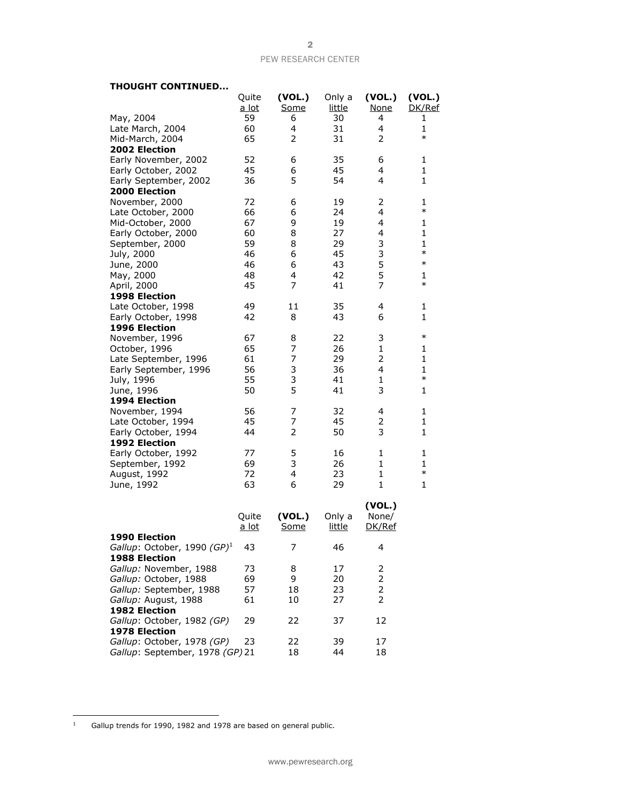## **THOUGHT CONTINUED...**

|                                 | Quite        | (VOL.)      | Only a        | (VOL.)         | (VOL.)       |
|---------------------------------|--------------|-------------|---------------|----------------|--------------|
|                                 | <u>a lot</u> | Some        | <u>little</u> | <b>None</b>    | DK/Ref       |
| May, 2004                       | 59           | 6           | 30            | 4              | 1            |
| Late March, 2004                | 60           | 4           | 31            | $\overline{4}$ | $\mathbf{1}$ |
| Mid-March, 2004                 | 65           | 2           | 31            | 2              | $\ast$       |
| 2002 Election                   |              |             |               |                |              |
| Early November, 2002            | 52           | 6           | 35            | 6              | 1            |
| Early October, 2002             | 45           | 6           | 45            | 4              | 1            |
| Early September, 2002           | 36           | 5           | 54            | 4              | 1            |
| 2000 Election                   |              |             |               |                |              |
| November, 2000                  | 72           | 6           | 19            | 2              | 1            |
| Late October, 2000              | 66           | 6           | 24            | 4              | $\ast$       |
| Mid-October, 2000               | 67           | 9           | 19            | 4              | 1            |
| Early October, 2000             | 60           | 8           | 27            | 4              | $\mathbf{1}$ |
| September, 2000                 | 59           | 8           | 29            | 3              | $\mathbf{1}$ |
| July, 2000                      | 46           | 6           | 45            | 3              | $\ast$       |
| June, 2000                      | 46           | 6           | 43            | 5              | $\ast$       |
| May, 2000                       | 48           | 4           | 42            | 5              | $\mathbf{1}$ |
| April, 2000                     | 45           | 7           | 41            | 7              | $\ast$       |
| 1998 Election                   |              |             |               |                |              |
| Late October, 1998              | 49           | 11          | 35            | 4              | 1            |
| Early October, 1998             | 42           | 8           | 43            | 6              | $\mathbf{1}$ |
| 1996 Election                   |              |             |               |                |              |
| November, 1996                  | 67           | 8           | 22            | 3              | $\ast$       |
| October, 1996                   | 65           | 7           | 26            | $\mathbf{1}$   | 1            |
| Late September, 1996            | 61           | 7           | 29            | 2              | 1            |
| Early September, 1996           | 56           | 3           | 36            | 4              | 1            |
| July, 1996                      | 55           | 3           | 41            | $\mathbf{1}$   | $\ast$       |
| June, 1996                      | 50           | 5           | 41            | 3              | 1            |
| 1994 Election                   |              |             |               |                |              |
| November, 1994                  | 56           | 7           | 32            | 4              | 1            |
| Late October, 1994              | 45           | 7           | 45            | 2              | $\mathbf{1}$ |
| Early October, 1994             | 44           | 2           | 50            | 3              | $\mathbf{1}$ |
| 1992 Election                   |              |             |               |                |              |
| Early October, 1992             | 77           | 5           | 16            | 1              | 1            |
| September, 1992                 | 69           | 3           | 26            | $\mathbf{1}$   | 1            |
| August, 1992                    | 72           | 4           | 23            | $\mathbf{1}$   | $\ast$       |
| June, 1992                      | 63           | 6           | 29            | $\mathbf{1}$   | 1            |
|                                 |              |             |               |                |              |
|                                 |              |             |               | (VOL.)         |              |
|                                 | Quite        | (VOL.)      | Only a        | None/          |              |
|                                 | <u>a lot</u> | <u>Some</u> | <u>little</u> | DK/Ref         |              |
| 1990 Election                   |              |             |               |                |              |
| Gallup: October, 1990 $(GP)^1$  | 43           | 7           | 46            | 4              |              |
| <b>1988 Election</b>            |              |             |               |                |              |
| Gallup: November, 1988          | 73           | 8           | 17            | 2              |              |
| Gallup: October, 1988           | 69           | 9           | 20            | 2              |              |
| Gallup: September, 1988         | 57           | 18          | 23            | 2              |              |
| Gallup: August, 1988            | 61           | 10          | 27            | 2              |              |
| <b>1982 Election</b>            |              |             |               |                |              |
| Gallup: October, 1982 (GP)      | 29           | 22          | 37            | 12             |              |
| 1978 Election                   |              |             |               |                |              |
| Gallup: October, 1978 (GP)      | 23           | 22          | 39            | 17             |              |
| Gallup: September, 1978 (GP) 21 |              | 18          | 44            | 18             |              |

 $\bar{1}$ Gallup trends for 1990, 1982 and 1978 are based on general public.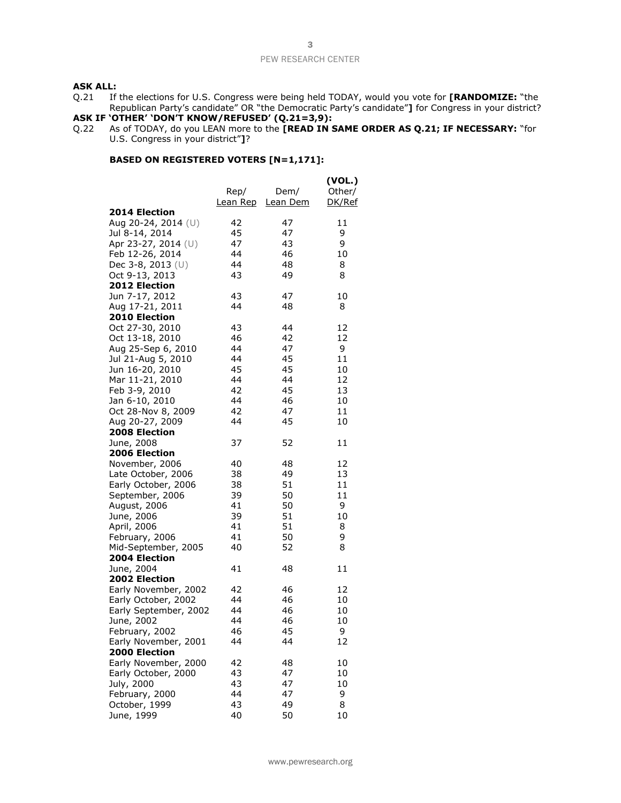## **ASK ALL:**

Q.21 If the elections for U.S. Congress were being held TODAY, would you vote for **[RANDOMIZE:** "the Republican Party's candidate" OR "the Democratic Party's candidate"**]** for Congress in your district?

## **ASK IF 'OTHER' 'DON'T KNOW/REFUSED' (Q.21=3,9):**

Q.22 As of TODAY, do you LEAN more to the **[READ IN SAME ORDER AS Q.21; IF NECESSARY:** "for U.S. Congress in your district"**]**?

## **BASED ON REGISTERED VOTERS [N=1,171]:**

|                                         | Rep/<br><u>Lean Rep</u> | Dem/<br>Lean Dem | (VOL.)<br>Other/<br>DK/Ref |
|-----------------------------------------|-------------------------|------------------|----------------------------|
| 2014 Election                           |                         |                  |                            |
| Aug 20-24, 2014 (U)                     | 42                      | 47               | 11                         |
| Jul 8-14, 2014                          | 45                      | 47               | 9                          |
| Apr 23-27, 2014 (U)                     | 47                      | 43               | 9                          |
| Feb 12-26, 2014                         | 44                      | 46               | 10                         |
| Dec 3-8, 2013 (U)                       | 44                      | 48               | 8                          |
| Oct 9-13, 2013                          | 43                      | 49               | 8                          |
| 2012 Election                           |                         |                  |                            |
| Jun 7-17, 2012                          | 43<br>44                | 47               | 10                         |
| Aug 17-21, 2011<br><b>2010 Election</b> |                         | 48               | 8                          |
|                                         |                         | 44               | 12                         |
| Oct 27-30, 2010                         | 43                      |                  |                            |
| Oct 13-18, 2010                         | 46                      | 42               | 12                         |
| Aug 25-Sep 6, 2010                      | 44                      | 47               | 9                          |
| Jul 21-Aug 5, 2010                      | 44                      | 45               | 11                         |
| Jun 16-20, 2010                         | 45                      | 45               | 10                         |
| Mar 11-21, 2010                         | 44                      | 44               | 12                         |
| Feb 3-9, 2010                           | 42                      | 45               | 13                         |
| Jan 6-10, 2010                          | 44                      | 46               | 10                         |
| Oct 28-Nov 8, 2009                      | 42                      | 47               | 11                         |
| Aug 20-27, 2009                         | 44                      | 45               | 10                         |
| <b>2008 Election</b>                    |                         |                  |                            |
| June, 2008                              | 37                      | 52               | 11                         |
| 2006 Election                           | 40                      |                  | 12                         |
| November, 2006                          |                         | 48               |                            |
| Late October, 2006                      | 38                      | 49               | 13                         |
| Early October, 2006                     | 38                      | 51               | 11                         |
| September, 2006                         | 39                      | 50               | 11                         |
| August, 2006                            | 41                      | 50<br>51         | 9                          |
| June, 2006                              | 39                      |                  | 10                         |
| April, 2006                             | 41                      | 51               | 8                          |
| February, 2006                          | 41                      | 50               | 9                          |
| Mid-September, 2005                     | 40                      | 52               | 8                          |
| 2004 Election                           | 41                      | 48               | 11                         |
| June, 2004<br>2002 Election             |                         |                  |                            |
| Early November, 2002                    | 42                      | 46               | 12                         |
| Early October, 2002                     | 44                      | 46               | 10                         |
| Early September, 2002                   | 44                      | 46               | 10                         |
|                                         | 44                      | 46               | 10                         |
| June, 2002                              | 46                      | 45               | 9                          |
| February, 2002<br>Early November, 2001  | 44                      | 44               | 12                         |
| 2000 Election                           |                         |                  |                            |
| Early November, 2000                    | 42                      | 48               | 10                         |
| Early October, 2000                     | 43                      | 47               | 10                         |
| July, 2000                              | 43                      | 47               | 10                         |
| February, 2000                          | 44                      | 47               | 9                          |
| October, 1999                           | 43                      | 49               | 8                          |
| June, 1999                              | 40                      | 50               | 10                         |
|                                         |                         |                  |                            |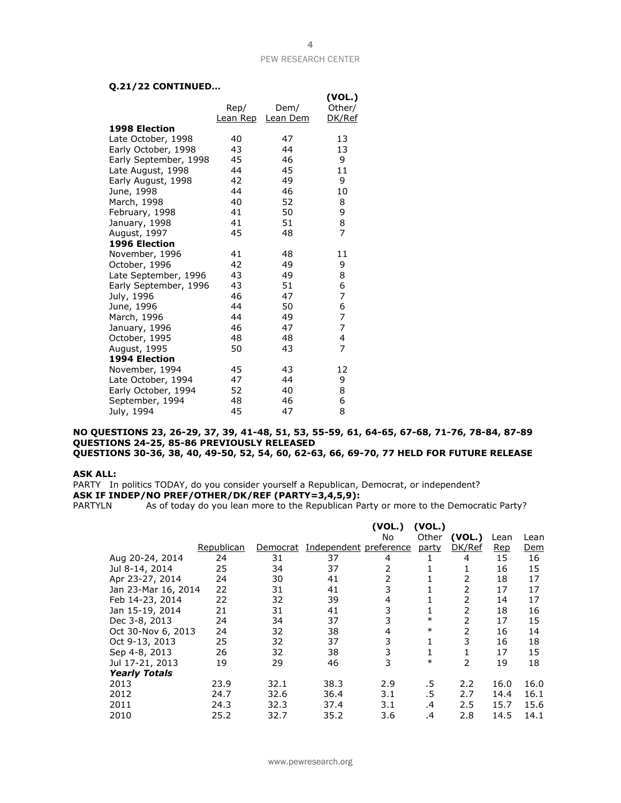## **Q.21/22 CONTINUED…**

|                       |          |          | (VOL.)         |
|-----------------------|----------|----------|----------------|
|                       | Rep/     | Dem/     | Other/         |
|                       | Lean Rep | Lean Dem | DK/Ref         |
| <b>1998 Election</b>  |          |          |                |
| Late October, 1998    | 40       | 47       | 13             |
| Early October, 1998   | 43       | 44       | 13             |
| Early September, 1998 | 45       | 46       | 9              |
| Late August, 1998     | 44       | 45       | 11             |
| Early August, 1998    | 42       | 49       | 9              |
| June, 1998            | 44       | 46       | 10             |
| March, 1998           | 40       | 52       | 8              |
| February, 1998        | 41       | 50       | 9              |
| January, 1998         | 41       | 51       | 8              |
| August, 1997          | 45       | 48       | $\overline{7}$ |
| <b>1996 Election</b>  |          |          |                |
| November, 1996        | 41       | 48       | 11             |
| October, 1996         | 42       | 49       | 9              |
| Late September, 1996  | 43       | 49       | 8              |
| Early September, 1996 | 43       | 51       | 6              |
| July, 1996            | 46       | 47       | 7              |
| June, 1996            | 44       | 50       | 6              |
| March, 1996           | 44       | 49       | $\overline{7}$ |
| January, 1996         | 46       | 47       | 7              |
| October, 1995         | 48       | 48       | 4              |
| August, 1995          | 50       | 43       | 7              |
| 1994 Election         |          |          |                |
| November, 1994        | 45       | 43       | 12             |
| Late October, 1994    | 47       | 44       | 9              |
| Early October, 1994   | 52       | 40       | 8              |
| September, 1994       | 48       | 46       | 6              |
| July, 1994            | 45       | 47       | 8              |

#### **NO QUESTIONS 23, 26-29, 37, 39, 41-48, 51, 53, 55-59, 61, 64-65, 67-68, 71-76, 78-84, 87-89 QUESTIONS 24-25, 85-86 PREVIOUSLY RELEASED QUESTIONS 30-36, 38, 40, 49-50, 52, 54, 60, 62-63, 66, 69-70, 77 HELD FOR FUTURE RELEASE**

#### **ASK ALL:**

PARTY In politics TODAY, do you consider yourself a Republican, Democrat, or independent? **ASK IF INDEP/NO PREF/OTHER/DK/REF (PARTY=3,4,5,9):**

PARTYLN As of today do you lean more to the Republican Party or more to the Democratic Party?

|                      |            |          |                        | (VOL.)<br>No   | (VOL.)<br>Other | (VOL.) | Lean       | Lean       |
|----------------------|------------|----------|------------------------|----------------|-----------------|--------|------------|------------|
|                      | Republican | Democrat | Independent preference |                | party           | DK/Ref | <b>Rep</b> | <u>Dem</u> |
| Aug 20-24, 2014      | 24         | 31       | 37                     | 4              |                 | 4      | 15         | 16         |
| Jul 8-14, 2014       | 25         | 34       | 37                     | 2              | T               | 1      | 16         | 15         |
| Apr 23-27, 2014      | 24         | 30       | 41                     | $\overline{2}$ |                 | 2      | 18         | 17         |
| Jan 23-Mar 16, 2014  | 22         | 31       | 41                     | 3              |                 | 2      | 17         | 17         |
| Feb 14-23, 2014      | 22         | 32       | 39                     | 4              |                 | 2      | 14         | 17         |
| Jan 15-19, 2014      | 21         | 31       | 41                     | 3              |                 | 2      | 18         | 16         |
| Dec 3-8, 2013        | 24         | 34       | 37                     | 3              | $\ast$          | 2      | 17         | 15         |
| Oct 30-Nov 6, 2013   | 24         | 32       | 38                     | 4              | $\ast$          | 2      | 16         | 14         |
| Oct 9-13, 2013       | 25         | 32       | 37                     | 3              |                 | 3      | 16         | 18         |
| Sep 4-8, 2013        | 26         | 32       | 38                     | 3              |                 |        | 17         | 15         |
| Jul 17-21, 2013      | 19         | 29       | 46                     | 3              | $\ast$          | 2      | 19         | 18         |
| <b>Yearly Totals</b> |            |          |                        |                |                 |        |            |            |
| 2013                 | 23.9       | 32.1     | 38.3                   | 2.9            | .5              | 2.2    | 16.0       | 16.0       |
| 2012                 | 24.7       | 32.6     | 36.4                   | 3.1            | .5              | 2.7    | 14.4       | 16.1       |
| 2011                 | 24.3       | 32.3     | 37.4                   | 3.1            | $\cdot$         | 2.5    | 15.7       | 15.6       |
| 2010                 | 25.2       | 32.7     | 35.2                   | 3.6            | .4              | 2.8    | 14.5       | 14.1       |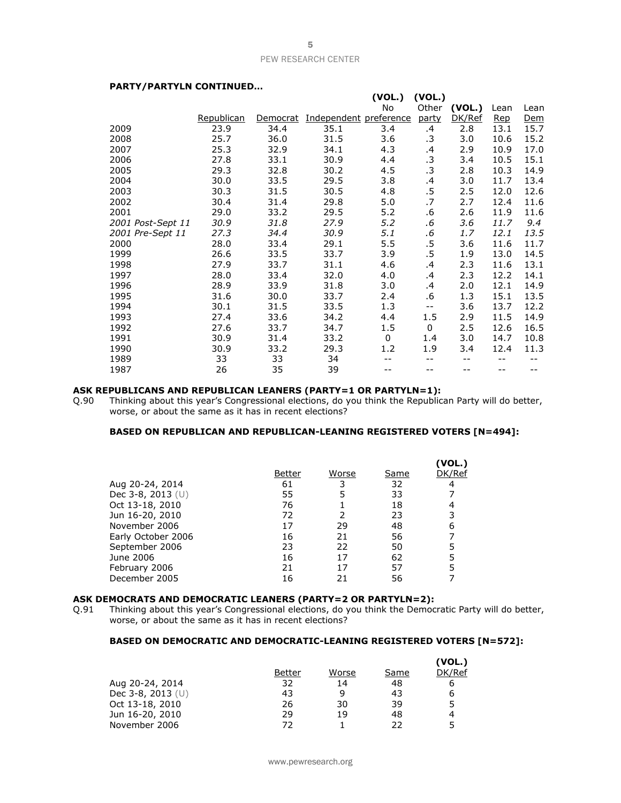**(VOL.) (VOL.)**

## **PARTY/PARTYLN CONTINUED…**

|                   |            |          |                        | (10L)    | ( VUL. ) |        |            |            |
|-------------------|------------|----------|------------------------|----------|----------|--------|------------|------------|
|                   |            |          |                        | No       | Other    | (VOL.) | Lean       | Lean       |
|                   | Republican | Democrat | Independent preference |          | party    | DK/Ref | <u>Rep</u> | <u>Dem</u> |
| 2009              | 23.9       | 34.4     | 35.1                   | 3.4      | .4       | 2.8    | 13.1       | 15.7       |
| 2008              | 25.7       | 36.0     | 31.5                   | 3.6      | .3       | 3.0    | 10.6       | 15.2       |
| 2007              | 25.3       | 32.9     | 34.1                   | 4.3      | .4       | 2.9    | 10.9       | 17.0       |
| 2006              | 27.8       | 33.1     | 30.9                   | 4.4      | .3       | 3.4    | 10.5       | 15.1       |
| 2005              | 29.3       | 32.8     | 30.2                   | 4.5      | .3       | 2.8    | 10.3       | 14.9       |
| 2004              | 30.0       | 33.5     | 29.5                   | 3.8      | $\cdot$  | 3.0    | 11.7       | 13.4       |
| 2003              | 30.3       | 31.5     | 30.5                   | 4.8      | $.5\,$   | 2.5    | 12.0       | 12.6       |
| 2002              | 30.4       | 31.4     | 29.8                   | 5.0      | .7       | 2.7    | 12.4       | 11.6       |
| 2001              | 29.0       | 33.2     | 29.5                   | 5.2      | .6       | 2.6    | 11.9       | 11.6       |
| 2001 Post-Sept 11 | 30.9       | 31.8     | 27.9                   | 5.2      | .6       | 3.6    | 11.7       | 9.4        |
| 2001 Pre-Sept 11  | 27.3       | 34.4     | 30.9                   | 5.1      | .6       | 1.7    | 12.1       | 13.5       |
| 2000              | 28.0       | 33.4     | 29.1                   | 5.5      | .5       | 3.6    | 11.6       | 11.7       |
| 1999              | 26.6       | 33.5     | 33.7                   | 3.9      | .5       | 1.9    | 13.0       | 14.5       |
| 1998              | 27.9       | 33.7     | 31.1                   | 4.6      | .4       | 2.3    | 11.6       | 13.1       |
| 1997              | 28.0       | 33.4     | 32.0                   | 4.0      | .4       | 2.3    | 12.2       | 14.1       |
| 1996              | 28.9       | 33.9     | 31.8                   | 3.0      | .4       | 2.0    | 12.1       | 14.9       |
| 1995              | 31.6       | 30.0     | 33.7                   | 2.4      | .6       | 1.3    | 15.1       | 13.5       |
| 1994              | 30.1       | 31.5     | 33.5                   | 1.3      | $- -$    | 3.6    | 13.7       | 12.2       |
| 1993              | 27.4       | 33.6     | 34.2                   | 4.4      | 1.5      | 2.9    | 11.5       | 14.9       |
| 1992              | 27.6       | 33.7     | 34.7                   | 1.5      | 0        | 2.5    | 12.6       | 16.5       |
| 1991              | 30.9       | 31.4     | 33.2                   | $\Omega$ | 1.4      | 3.0    | 14.7       | 10.8       |
| 1990              | 30.9       | 33.2     | 29.3                   | 1.2      | 1.9      | 3.4    | 12.4       | 11.3       |
| 1989              | 33         | 33       | 34                     |          | --       | --     |            |            |
| 1987              | 26         | 35       | 39                     |          |          | --     |            |            |

# **ASK REPUBLICANS AND REPUBLICAN LEANERS (PARTY=1 OR PARTYLN=1):**<br>Q.90 Thinking about this year's Congressional elections, do you think the Republic

Thinking about this year's Congressional elections, do you think the Republican Party will do better, worse, or about the same as it has in recent elections?

## **BASED ON REPUBLICAN AND REPUBLICAN-LEANING REGISTERED VOTERS [N=494]:**

|                     |        |       |      | (VOL.) |
|---------------------|--------|-------|------|--------|
|                     | Better | Worse | Same | DK/Ref |
| Aug 20-24, 2014     | 61     | 3     | 32   | 4      |
| Dec 3-8, 2013 $(U)$ | 55     |       | 33   |        |
| Oct 13-18, 2010     | 76     |       | 18   |        |
| Jun 16-20, 2010     | 72     |       | 23   |        |
| November 2006       | 17     | 29    | 48   | 6      |
| Early October 2006  | 16     | 21    | 56   |        |
| September 2006      | 23     | 22    | 50   |        |
| June 2006           | 16     | 17    | 62   |        |
| February 2006       | 21     | 17    | 57   |        |
| December 2005       | 16     | 21    | 56   |        |

#### **ASK DEMOCRATS AND DEMOCRATIC LEANERS (PARTY=2 OR PARTYLN=2):**

Q.91 Thinking about this year's Congressional elections, do you think the Democratic Party will do better, worse, or about the same as it has in recent elections?

## **BASED ON DEMOCRATIC AND DEMOCRATIC-LEANING REGISTERED VOTERS [N=572]:**

|                   |        |       |      | (VOL.) |
|-------------------|--------|-------|------|--------|
|                   | Better | Worse | Same | DK/Ref |
| Aug 20-24, 2014   | 32     | 14    | 48   | b      |
| Dec 3-8, 2013 (U) | 43     | q     | 43   | 6      |
| Oct 13-18, 2010   | 26     | 30    | 39   | 5      |
| Jun 16-20, 2010   | 29     | 19    | 48   | 4      |
| November 2006     | 72     |       | つつ   | 5      |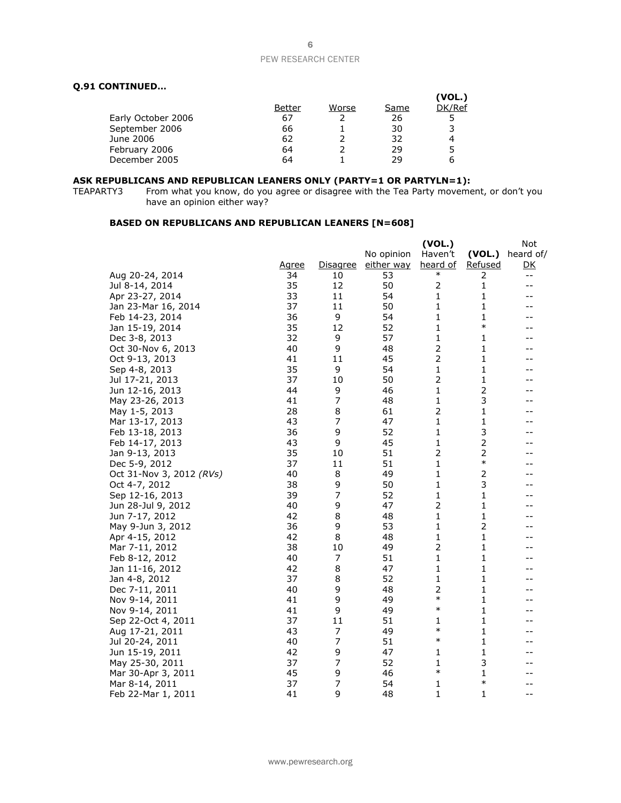## **Q.91 CONTINUED…**

|                    |        |       |      | (VOL.) |
|--------------------|--------|-------|------|--------|
|                    | Better | Worse | Same | DK/Ref |
| Early October 2006 | 67     |       | 26   |        |
| September 2006     | 66     |       | 30   |        |
| June 2006          | 62     |       | 32   |        |
| February 2006      | 64     |       | 29   |        |
| December 2005      | 64     |       | 29   |        |
|                    |        |       |      |        |

#### **ASK REPUBLICANS AND REPUBLICAN LEANERS ONLY (PARTY=1 OR PARTYLN=1):**

TEAPARTY3 From what you know, do you agree or disagree with the Tea Party movement, or don't you have an opinion either way?

## **BASED ON REPUBLICANS AND REPUBLICAN LEANERS [N=608]**

|                          |              |                 |            | (VOL.)          |                | Not       |
|--------------------------|--------------|-----------------|------------|-----------------|----------------|-----------|
|                          |              |                 | No opinion | Haven't         | (VOL.)         | heard of/ |
|                          | <u>Agree</u> | <u>Disagree</u> | either way | <u>heard of</u> | <u>Refused</u> | <u>DК</u> |
| Aug 20-24, 2014          | 34           | 10              | 53         | $\ast$          | 2              | $- -$     |
| Jul 8-14, 2014           | 35           | 12              | 50         | 2               | 1              | --        |
| Apr 23-27, 2014          | 33           | 11              | 54         | 1               | 1              | --        |
| Jan 23-Mar 16, 2014      | 37           | 11              | 50         | 1               | 1              | --        |
| Feb 14-23, 2014          | 36           | 9               | 54         | 1               | 1              |           |
| Jan 15-19, 2014          | 35           | 12              | 52         | 1               | $\ast$         | --        |
| Dec 3-8, 2013            | 32           | 9               | 57         | 1               | 1              | --        |
| Oct 30-Nov 6, 2013       | 40           | 9               | 48         | 2               | 1              | --        |
| Oct 9-13, 2013           | 41           | 11              | 45         | $\overline{2}$  | 1              | --        |
| Sep 4-8, 2013            | 35           | 9               | 54         | 1               | 1              | --        |
| Jul 17-21, 2013          | 37           | 10              | 50         | 2               | 1              | --        |
| Jun 12-16, 2013          | 44           | 9               | 46         | 1               | $\overline{c}$ |           |
| May 23-26, 2013          | 41           | 7               | 48         | 1               | 3              |           |
| May 1-5, 2013            | 28           | 8               | 61         | $\overline{2}$  | 1              | --        |
| Mar 13-17, 2013          | 43           | 7               | 47         | 1               | $\mathbf{1}$   | --        |
| Feb 13-18, 2013          | 36           | 9               | 52         | 1               | 3              | --        |
| Feb 14-17, 2013          | 43           | 9               | 45         | 1               | 2              | --        |
| Jan 9-13, 2013           | 35           | 10              | 51         | 2               | 2              |           |
| Dec 5-9, 2012            | 37           | 11              | 51         | 1               | $\ast$         | --        |
| Oct 31-Nov 3, 2012 (RVs) | 40           | 8               | 49         | 1               | 2              | --        |
| Oct 4-7, 2012            | 38           | 9               | 50         | 1               | 3              | --        |
| Sep 12-16, 2013          | 39           | 7               | 52         | 1               | 1              | --        |
| Jun 28-Jul 9, 2012       | 40           | 9               | 47         | 2               | 1              |           |
| Jun 7-17, 2012           | 42           | 8               | 48         | 1               | 1              | --        |
| May 9-Jun 3, 2012        | 36           | 9               | 53         | 1               | 2              |           |
| Apr 4-15, 2012           | 42           | 8               | 48         | 1               | 1              | --        |
| Mar 7-11, 2012           | 38           | 10              | 49         | 2               | 1              | --        |
| Feb 8-12, 2012           | 40           | 7               | 51         | 1               | 1              | --        |
| Jan 11-16, 2012          | 42           | 8               | 47         | 1               | 1              |           |
| Jan 4-8, 2012            | 37           | 8               | 52         | 1               | 1              | --        |
| Dec 7-11, 2011           | 40           | 9               | 48         | 2               | 1              | --        |
| Nov 9-14, 2011           | 41           | 9               | 49         | $\ast$          | 1              | --        |
| Nov 9-14, 2011           | 41           | 9               | 49         | $\ast$          | 1              | --        |
| Sep 22-Oct 4, 2011       | 37           | 11              | 51         | 1               | 1              | --        |
| Aug 17-21, 2011          | 43           | 7               | 49         | $\ast$          | 1              | --        |
| Jul 20-24, 2011          | 40           | 7               | 51         | $\ast$          | 1              | --        |
| Jun 15-19, 2011          | 42           | 9               | 47         | 1               | 1              | --        |
| May 25-30, 2011          | 37           | 7               | 52         | 1               | 3              | --        |
| Mar 30-Apr 3, 2011       | 45           | 9               | 46         | $\ast$          | 1              |           |
| Mar 8-14, 2011           | 37           | 7               | 54         | 1               | $\ast$         | --        |
| Feb 22-Mar 1, 2011       | 41           | 9               | 48         | $\mathbf{1}$    | 1              | $- -$     |